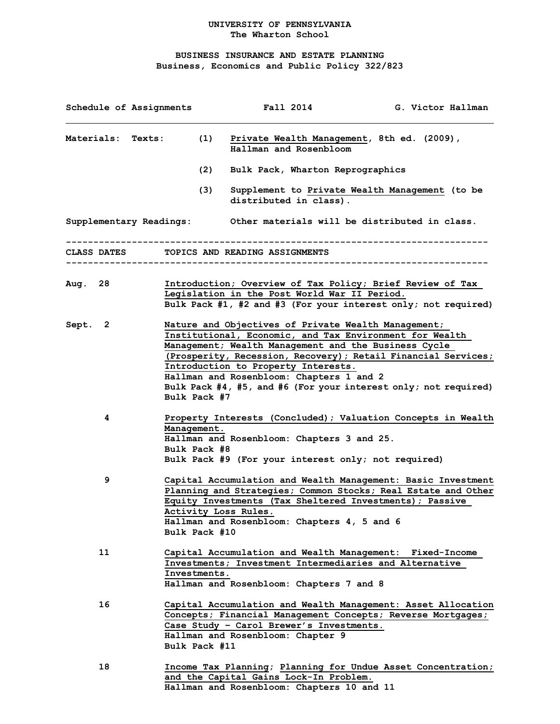## **UNIVERSITY OF PENNSYLVANIA The Wharton School**

## **BUSINESS INSURANCE AND ESTATE PLANNING Business, Economics and Public Policy 322/823**

| Schedule of Assignments                    |                                                                                                                                                                                                                                                                                                                                                                                                               | Fall 2014                                                                                                                                                      | G. Victor Hallman                                                                                                             |
|--------------------------------------------|---------------------------------------------------------------------------------------------------------------------------------------------------------------------------------------------------------------------------------------------------------------------------------------------------------------------------------------------------------------------------------------------------------------|----------------------------------------------------------------------------------------------------------------------------------------------------------------|-------------------------------------------------------------------------------------------------------------------------------|
| (1)<br><b>Materials:</b><br><b>Texts:</b>  |                                                                                                                                                                                                                                                                                                                                                                                                               | Private Wealth Management, 8th ed. (2009),<br>Hallman and Rosenbloom                                                                                           |                                                                                                                               |
|                                            | (2)                                                                                                                                                                                                                                                                                                                                                                                                           | Bulk Pack, Wharton Reprographics                                                                                                                               |                                                                                                                               |
|                                            | (3)                                                                                                                                                                                                                                                                                                                                                                                                           | distributed in class).                                                                                                                                         | Supplement to Private Wealth Management (to be                                                                                |
| Supplementary Readings:                    |                                                                                                                                                                                                                                                                                                                                                                                                               | Other materials will be distributed in class.                                                                                                                  |                                                                                                                               |
| CLASS DATES TOPICS AND READING ASSIGNMENTS |                                                                                                                                                                                                                                                                                                                                                                                                               |                                                                                                                                                                |                                                                                                                               |
| Aug. 28                                    |                                                                                                                                                                                                                                                                                                                                                                                                               | Introduction; Overview of Tax Policy; Brief Review of Tax<br>Legislation in the Post World War II Period.                                                      | Bulk Pack #1, #2 and #3 (For your interest only; not required)                                                                |
| Sept.<br>2                                 | Nature and Objectives of Private Wealth Management;<br>Institutional, Economic, and Tax Environment for Wealth<br>Management; Wealth Management and the Business Cycle<br>(Prosperity, Recession, Recovery); Retail Financial Services;<br>Introduction to Property Interests.<br>Hallman and Rosenbloom: Chapters 1 and 2<br>Bulk Pack #4, #5, and #6 (For your interest only; not required)<br>Bulk Pack #7 |                                                                                                                                                                |                                                                                                                               |
| 4                                          | Management.<br>Bulk Pack #8                                                                                                                                                                                                                                                                                                                                                                                   | Hallman and Rosenbloom: Chapters 3 and 25.<br>Bulk Pack #9 (For your interest only; not required)                                                              | Property Interests (Concluded); Valuation Concepts in Wealth                                                                  |
| 9                                          | Bulk Pack #10                                                                                                                                                                                                                                                                                                                                                                                                 | Equity Investments (Tax Sheltered Investments); Passive<br>Activity Loss Rules.<br>Hallman and Rosenbloom: Chapters 4, 5 and 6                                 | Capital Accumulation and Wealth Management: Basic Investment<br>Planning and Strategies; Common Stocks; Real Estate and Other |
| 11                                         | Investments.                                                                                                                                                                                                                                                                                                                                                                                                  | Capital Accumulation and Wealth Management: Fixed-Income<br>Investments; Investment Intermediaries and Alternative<br>Hallman and Rosenbloom: Chapters 7 and 8 |                                                                                                                               |
| 16                                         | Bulk Pack #11                                                                                                                                                                                                                                                                                                                                                                                                 | Concepts; Financial Management Concepts; Reverse Mortgages;<br>Case Study - Carol Brewer's Investments.<br>Hallman and Rosenbloom: Chapter 9                   | Capital Accumulation and Wealth Management: Asset Allocation                                                                  |
| 18                                         |                                                                                                                                                                                                                                                                                                                                                                                                               | and the Capital Gains Lock-In Problem.<br>Hallman and Rosenbloom: Chapters 10 and 11                                                                           | Income Tax Planning; Planning for Undue Asset Concentration;                                                                  |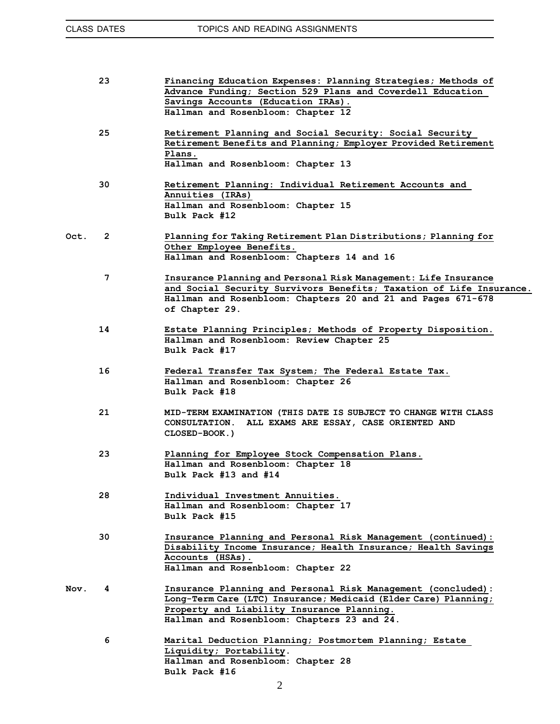|      | 23             | Financing Education Expenses: Planning Strategies; Methods of<br>Advance Funding; Section 529 Plans and Coverdell Education<br>Savings Accounts (Education IRAs).<br>Hallman and Rosenbloom: Chapter 12                      |
|------|----------------|------------------------------------------------------------------------------------------------------------------------------------------------------------------------------------------------------------------------------|
|      | 25             | Retirement Planning and Social Security: Social Security<br>Retirement Benefits and Planning; Employer Provided Retirement<br>Plans.<br>Hallman and Rosenbloom: Chapter 13                                                   |
|      | 30             | Retirement Planning: Individual Retirement Accounts and<br>Annuities (IRAs)<br>Hallman and Rosenbloom: Chapter 15<br>Bulk Pack #12                                                                                           |
| Oct. | $\overline{2}$ | Planning for Taking Retirement Plan Distributions; Planning for<br>Other Employee Benefits.<br>Hallman and Rosenbloom: Chapters 14 and 16                                                                                    |
|      | $\overline{7}$ | Insurance Planning and Personal Risk Management: Life Insurance<br>and Social Security Survivors Benefits; Taxation of Life Insurance.<br>Hallman and Rosenbloom: Chapters 20 and 21 and Pages 671-678<br>of Chapter 29.     |
|      | 14             | Estate Planning Principles; Methods of Property Disposition.<br>Hallman and Rosenbloom: Review Chapter 25<br>Bulk Pack #17                                                                                                   |
|      | 16             | Federal Transfer Tax System; The Federal Estate Tax.<br>Hallman and Rosenbloom: Chapter 26<br>Bulk Pack #18                                                                                                                  |
|      | 21             | MID-TERM EXAMINATION (THIS DATE IS SUBJECT TO CHANGE WITH CLASS<br>CONSULTATION. ALL EXAMS ARE ESSAY, CASE ORIENTED AND<br>CLOSED-BOOK.)                                                                                     |
|      | 23             | Planning for Employee Stock Compensation Plans.<br>Hallman and Rosenbloom: Chapter 18<br>Bulk Pack #13 and #14                                                                                                               |
|      | 28             | Individual Investment Annuities.<br>Hallman and Rosenbloom: Chapter 17<br>Bulk Pack #15                                                                                                                                      |
|      | 30             | Insurance Planning and Personal Risk Management (continued):<br>Disability Income Insurance; Health Insurance; Health Savings<br>Accounts (HSAs).<br>Hallman and Rosenbloom: Chapter 22                                      |
| Nov. | 4              | Insurance Planning and Personal Risk Management (concluded):<br>Long-Term Care (LTC) Insurance; Medicaid (Elder Care) Planning;<br>Property and Liability Insurance Planning.<br>Hallman and Rosenbloom: Chapters 23 and 24. |
|      | 6              | Marital Deduction Planning; Postmortem Planning; Estate<br>Liquidity; Portability.<br>Hallman and Rosenbloom: Chapter 28                                                                                                     |

**Bulk Pack #16**